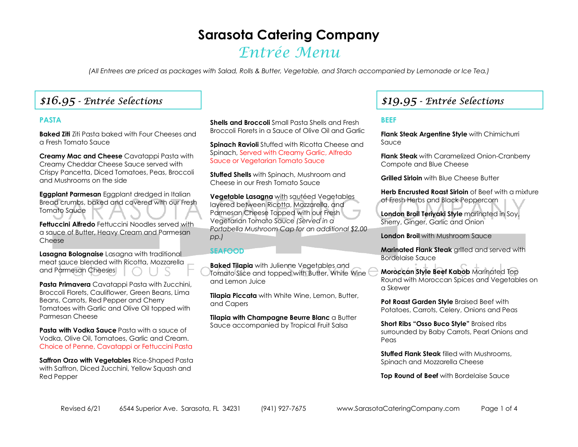# **Sarasota Catering Company**

# Entrée Menu

*(All Entrees are priced as packages with Salad, Rolls & Butter, Vegetable, and Starch accompanied by Lemonade or Ice Tea.)* 

## \$16.95 - Entrée Selections

### **PASTA**

**Baked Ziti** Ziti Pasta baked with Four Cheeses and a Fresh Tomato Sauce

**Creamy Mac and Cheese** Cavatappi Pasta with Creamy Cheddar Cheese Sauce served with Crispy Pancetta, Diced Tomatoes, Peas, Broccoli and Mushrooms on the side

**Eggplant Parmesan** Eggplant dredged in Italian Bread crumbs, baked and covered with our Fresh Tomato Sauce

**Fettuccini Alfredo** Fettuccini Noodles served with a sauce of Butter, Heavy Cream and Parmesan Cheese

**Lasagna Bolognaise** Lasagna with traditional meat sauce blended with Ricotta, Mozzarella and Parmesan Cheeses

**Pasta Primavera** Cavatappi Pasta with Zucchini, Broccoli Florets, Cauliflower, Green Beans, Lima Beans, Carrots, Red Pepper and Cherry Tomatoes with Garlic and Olive Oil topped with Parmesan Cheese

**Pasta with Vodka Sauce** Pasta with a squce of Vodka, Olive Oil, Tomatoes, Garlic and Cream. Choice of Penne, Cavatappi or Fettuccini Pasta

**Saffron Orzo with Vegetables** Rice-Shaped Pasta with Saffron, Diced Zucchini, Yellow Squash and Red Pepper

**Shells and Broccoli** Small Pasta Shells and Fresh Broccoli Florets in a Sauce of Olive Oil and Garlic

**Spinach Ravioli** Stuffed with Ricotta Cheese and Spinach, Served with Creamy Garlic, Alfredo Sauce or Vegetarian Tomato Sauce

**Stuffed Shells** with Spinach, Mushroom and Cheese in our Fresh Tomato Sauce

**Vegetable Lasagna** with sautéed Vegetables layered between Ricotta, Mozzarella, and Parmesan Cheese Topped with our Fresh Vegetarian Tomato Sauce *(Served in a Portabella Mushroom Cap for an additional \$2.00 pp.)* 

#### **SEAFOOD**

**Baked Tilapia** with Julienne Vegetables and Tomato Slice and topped with Butter, White Wine and Lemon Juice

**Tilapia Piccata** with White Wine, Lemon, Butter, and Capers

**Tilapia with Champagne Beurre Blanc** a Butter Sauce accompanied by Tropical Fruit Salsa

## \$19.95 - Entrée Selections

### **BEEF**

**Flank Steak Argentine Style** with Chimichurri Sauce

**Flank Steak** with Caramelized Onion-Cranberry Compote and Blue Cheese

**Grilled Sirloin** with Blue Cheese Butter

**Herb Encrusted Roast Sirloin** of Beef with a mixture of Fresh Herbs and Black Peppercorn

**London Broil Teriyaki Style** marinated in Soy, Sherry, Ginger, Garlic and Onion

**London Broil** with Mushroom Sauce

**Marinated Flank Steak** grilled and served with Bordelaise Sauce

**Moroccan Style Beef Kabob** Marinated Top Round with Moroccan Spices and Vegetables on a Skewer

**Pot Roast Garden Style** Braised Beef with Potatoes, Carrots, Celery, Onions and Peas

**Short Ribs "Osso Buco Style"** Braised ribs surrounded by Baby Carrots, Pearl Onions and Peas

**Stuffed Flank Steak** filled with Mushrooms, Spinach and Mozzarella Cheese

**Top Round of Beef** with Bordelaise Sauce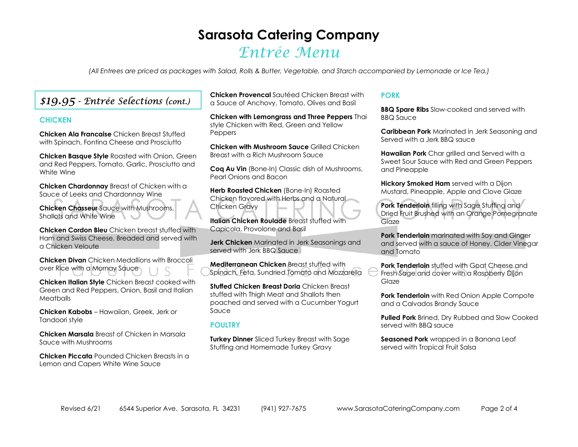# **Sarasota Catering Company** Entrée Menu

*(All Entrees are priced as packages with Salad, Rolls & Butter, Vegetable, and Starch accompanied by Lemonade or Ice Tea.)* 

## \$19.95 - Entrée Selections (cont.)

#### **CHICKEN**

**Chicken Ala Francaise** Chicken Breast Stuffed with Spinach, Fontina Cheese and Prosciutto

**Chicken Basque Style** Roasted with Onion, Green and Red Peppers, Tomato, Garlic, Prosciutto and White Wine

**Chicken Chardonnay** Breast of Chicken with a Sauce of Leeks and Chardonnay Wine

**Chicken Chasseur** Sauce with Mushrooms, Shallots and White Wine

**Chicken Cordon Bleu** Chicken breast stuffed with Ham and Swiss Cheese, Breaded and served with a Chicken Veloute

**Chicken Divan** Chicken Medallions with Broccoli over Rice with a Mornay Sauce

**Chicken Italian Style** Chicken Breast cooked with Green and Red Peppers, Onion, Basil and Italian **Meatballs** 

**Chicken Kabobs** – Hawaiian, Greek, Jerk or Tandoori style

**Chicken Marsala** Breast of Chicken in Marsala Sauce with Mushrooms

**Chicken Piccata** Pounded Chicken Breasts in a Lemon and Capers White Wine Sauce

**Chicken Provencal** Sautéed Chicken Breast with a Sauce of Anchovy, Tomato, Olives and Basil

**Chicken with Lemongrass and Three Peppers** Thai style Chicken with Red, Green and Yellow Peppers

**Chicken with Mushroom Sauce** Grilled Chicken Breast with a Rich Mushroom Sauce

**Coq Au Vin** (Bone-In) Classic dish of Mushrooms, Pearl Onions and Bacon

**Herb Roasted Chicken** (Bone-In) Roasted Chicken flavored with Herbs and a Natural Chicken Gravy

**Italian Chicken Roulade** Breast stuffed with Capicola, Provolone and Basil

**Jerk Chicken** Marinated in Jerk Seasonings and served with Jerk BBQ Squce

**Mediterranean Chicken** Breast stuffed with Spinach, Feta, Sundried Tomato and Mozzarella

**Stuffed Chicken Breast Doria** Chicken Breast stuffed with Thigh Meat and Shallots then poached and served with a Cucumber Yogurt Sauce

#### **POULTRY**

**Turkey Dinner** Sliced Turkey Breast with Sage Stuffing and Homemade Turkey Gravy

#### **PORK**

**BBQ Spare Ribs** Slow-cooked and served with BBQ Sauce

**Caribbean Pork** Marinated in Jerk Seasoning and Served with a Jerk BBQ sauce

**Hawaiian Pork** Char grilled and Served with a Sweet Sour Sauce with Red and Green Peppers and Pineapple

**Hickory Smoked Ham** served with a Dijon Mustard, Pineapple, Apple and Clove Glaze

**Pork Tenderloin** filling with Sage Stuffing and Dried Fruit Brushed with an Orange Pomegranate Glaze

**Pork Tenderloin** marinated with Soy and Ginger and served with a sauce of Honey, Cider Vinegar and Tomato

**Pork Tenderloin** stuffed with Goat Cheese and Fresh Sage and cover with a Raspberry Dijon Glaze

**Pork Tenderloin** with Red Onion Apple Compote and a Calvados Brandy Sauce

**Pulled Pork** Brined, Dry Rubbed and Slow Cooked served with BBQ sauce

**Seasoned Pork** wrapped in a Banana Leaf served with Tropical Fruit Salsa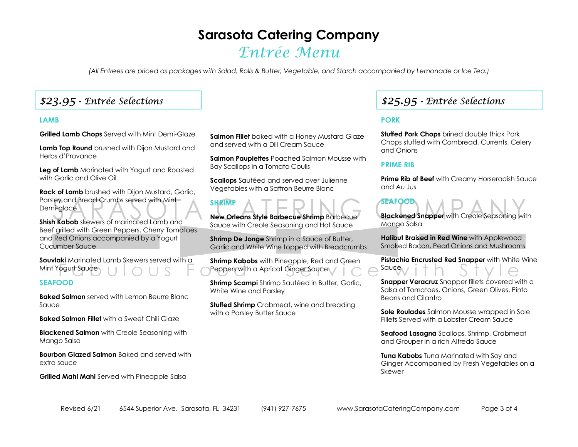# **Sarasota Catering Company**

# Entrée Menu

*(All Entrees are priced as packages with Salad, Rolls & Butter, Vegetable, and Starch accompanied by Lemonade or Ice Tea.)* 

### \$23.95 - Entrée Selections

#### **LAMB**

**Grilled Lamb Chops** Served with Mint Demi-Glaze

**Lamb Top Round** brushed with Dijon Mustard and Herbs d'Provance

**Leg of Lamb** Marinated with Yogurt and Roasted with Garlic and Olive Oil

**Rack of Lamb** brushed with Dijon Mustard, Garlic, Parsley and Bread Crumbs served with Mint Demi-glace

**Shish Kabob** skewers of marinated Lamb and Beef grilled with Green Peppers, Cherry Tomatoes and Red Onions accompanied by a Yogurt Cucumber Sauce

**Souvlaki** Marinated Lamb Skewers served with a Mint Yogurt Sauce

#### **SEAFOOD**

**Baked Salmon** served with Lemon Beurre Blanc Sauce

**Baked Salmon Fillet** with a Sweet Chili Glaze

**Blackened Salmon** with Creole Seasoning with Mango Salsa

**Bourbon Glazed Salmon** Baked and served with extra sauce

**Grilled Mahi Mahi** Served with Pineapple Salsa

**Salmon Fillet** baked with a Honey Mustard Glaze and served with a Dill Cream Sauce

**Salmon Paupiettes** Poached Salmon Mousse with Bay Scallops in a Tomato Coulis

**Scallops** Sautéed and served over Julienne Vegetables with a Saffron Beurre Blanc

**SHRIMP** 

**New Orleans Style Barbecue Shrimp** Barbecue Sauce with Creole Seasoning and Hot Sauce

**Shrimp De Jonge** Shrimp in a Sauce of Butter, Garlic and White Wine topped with Breadcrumbs

**Shrimp Kabobs** with Pineapple, Red and Green Peppers with a Apricot Ginger Sauce

**Shrimp Scampi** Shrimp Sautéed in Butter, Garlic, White Wine and Parsley

**Stuffed Shrimp** Crabmeat, wine and breading with a Parsley Butter Sauce

## \$25.95 - Entrée Selections

### **PORK**

**Stuffed Pork Chops** brined double thick Pork Chops stuffed with Cornbread, Currents, Celery and Onions

#### **PRIME RIB**

**SEAFOOD** 

**Prime Rib of Beef** with Creamy Horseradish Sauce and Au Jus

**Blackened Snapper** with Creole Seasoning with Mango Salsa

**Halibut Braised in Red Wine** with Applewood Smoked Bacon, Pearl Onions and Mushrooms

**Pistachio Encrusted Red Snapper** with White Wine Sauce

**Snapper Veracruz** Snapper fillets covered with a Salsa of Tomatoes, Onions, Green Olives, Pinto Beans and Cilantro

**Sole Roulades** Salmon Mousse wrapped in Sole Fillets Served with a Lobster Cream Sauce

**Seafood Lasagna** Scallops, Shrimp, Crabmeat and Grouper in a rich Alfredo Sauce

**Tuna Kabobs** Tuna Marinated with Soy and Ginger Accompanied by Fresh Vegetables on a Skewer